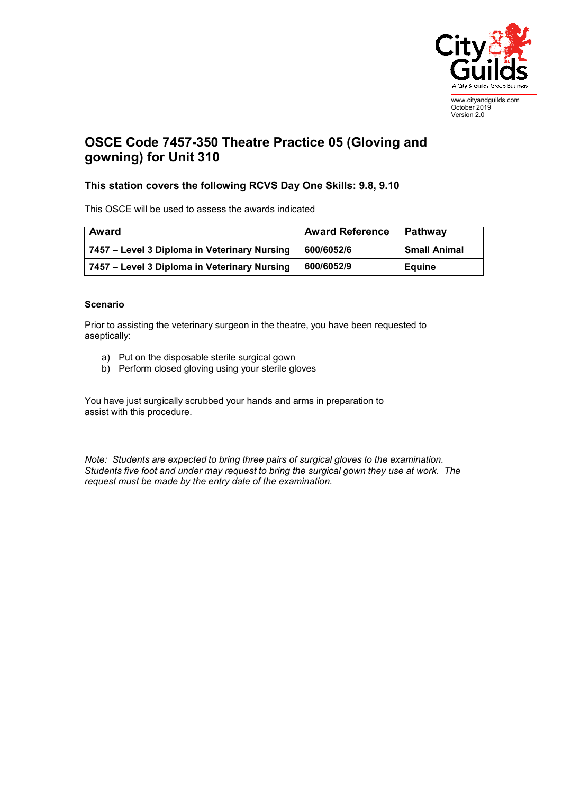

www.cityandguilds.com October 2019 Version 2.0

## **OSCE Code 7457-350 Theatre Practice 05 (Gloving and gowning) for Unit 310**

## **This station covers the following RCVS Day One Skills: 9.8, 9.10**

This OSCE will be used to assess the awards indicated

| <b>Award</b>                                 | <b>Award Reference</b> | Pathway             |
|----------------------------------------------|------------------------|---------------------|
| 7457 – Level 3 Diploma in Veterinary Nursing | 600/6052/6             | <b>Small Animal</b> |
| 7457 – Level 3 Diploma in Veterinary Nursing | 600/6052/9             | Eauine              |

## **Scenario**

Prior to assisting the veterinary surgeon in the theatre, you have been requested to aseptically:

- a) Put on the disposable sterile surgical gown
- b) Perform closed gloving using your sterile gloves

You have just surgically scrubbed your hands and arms in preparation to assist with this procedure.

*Note: Students are expected to bring three pairs of surgical gloves to the examination. Students five foot and under may request to bring the surgical gown they use at work. The request must be made by the entry date of the examination.*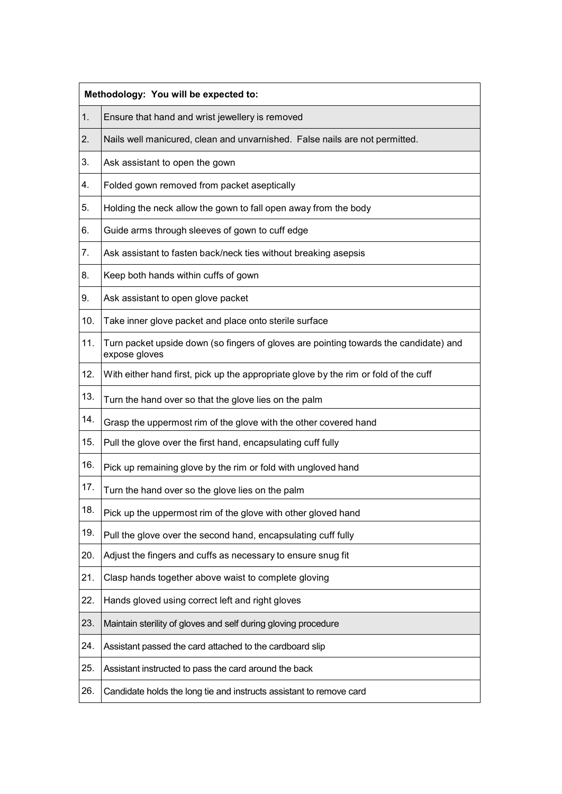| Methodology: You will be expected to: |                                                                                                        |  |
|---------------------------------------|--------------------------------------------------------------------------------------------------------|--|
| 1.                                    | Ensure that hand and wrist jewellery is removed                                                        |  |
| 2.                                    | Nails well manicured, clean and unvarnished. False nails are not permitted.                            |  |
| 3.                                    | Ask assistant to open the gown                                                                         |  |
| 4.                                    | Folded gown removed from packet aseptically                                                            |  |
| 5.                                    | Holding the neck allow the gown to fall open away from the body                                        |  |
| 6.                                    | Guide arms through sleeves of gown to cuff edge                                                        |  |
| 7.                                    | Ask assistant to fasten back/neck ties without breaking asepsis                                        |  |
| 8.                                    | Keep both hands within cuffs of gown                                                                   |  |
| 9.                                    | Ask assistant to open glove packet                                                                     |  |
| 10.                                   | Take inner glove packet and place onto sterile surface                                                 |  |
| 11.                                   | Turn packet upside down (so fingers of gloves are pointing towards the candidate) and<br>expose gloves |  |
| 12.                                   | With either hand first, pick up the appropriate glove by the rim or fold of the cuff                   |  |
| 13.                                   | Turn the hand over so that the glove lies on the palm                                                  |  |
| 14.                                   | Grasp the uppermost rim of the glove with the other covered hand                                       |  |
| 15.                                   | Pull the glove over the first hand, encapsulating cuff fully                                           |  |
| 16.                                   | Pick up remaining glove by the rim or fold with ungloved hand                                          |  |
| 17.                                   | Turn the hand over so the glove lies on the palm                                                       |  |
| 18.                                   | Pick up the uppermost rim of the glove with other gloved hand                                          |  |
| 19.                                   | Pull the glove over the second hand, encapsulating cuff fully                                          |  |
| 20.                                   | Adjust the fingers and cuffs as necessary to ensure snug fit                                           |  |
| 21.                                   | Clasp hands together above waist to complete gloving                                                   |  |
| 22.                                   | Hands gloved using correct left and right gloves                                                       |  |
| 23.                                   | Maintain sterility of gloves and self during gloving procedure                                         |  |
| 24.                                   | Assistant passed the card attached to the cardboard slip                                               |  |
| 25.                                   | Assistant instructed to pass the card around the back                                                  |  |
| 26.                                   | Candidate holds the long tie and instructs assistant to remove card                                    |  |